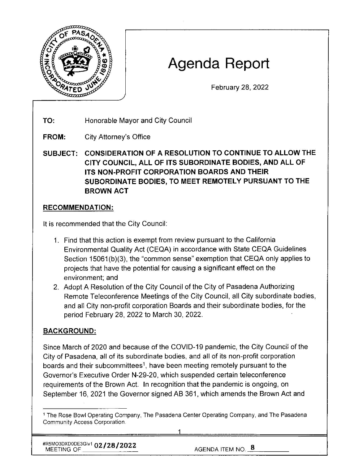

# **Agenda Report**

February 28, 2022

**TO:**  Honorable Mayor and City Council

**FROM:**  City Attorney's Office

**SUBJECT: CONSIDERATION OF A RESOLUTION TO CONTINUE TO ALLOW THE CITY COUNCIL, ALL OF ITS SUBORDINATE BODIES, AND ALL OF ITS NON-PROFIT CORPORATION BOARDS AND THEIR SUBORDINATE BODIES, TO MEET REMOTELY PURSUANT TO THE BROWN ACT** 

## **RECOMMENDATION:**

It is recommended that the City Council:

- 1. Find that this action is exempt from review pursuant to the California Environmental Quality Act (CEQA) in accordance with State CEQA Guidelines Section 15061(b)(3), the "common sense" exemption that CEQA only applies to projects that have the potential for causing a significant effect on the environment; and
- 2. Adopt A Resolution of the City Council of the City of Pasadena Authorizing Remote Teleconference Meetings of the City Council, all City subordinate bodies, and all City non-profit corporation Boards and their subordinate bodies, for the period February 28, 2022 to March 30, 2022.

## **BACKGROUND:**

Since March of 2020 and because of the COVID-19 pandemic, the City Council of the City of Pasadena, all of its subordinate bodies, and all of its non-profit corporation boards and their subcommittees<sup>1</sup>, have been meeting remotely pursuant to the Governor's Executive Order N-29-20, which suspended certain teleconference requirements of the Brown Act. In recognition that the pandemic is ongoing, on September 16, 2021 the Governor signed AB 361, which amends the Brown Act and

<sup>1</sup>The Rose Bowl Operating Company, The Pasadena Center Operating Company, and The Pasadena Community Access Corporation.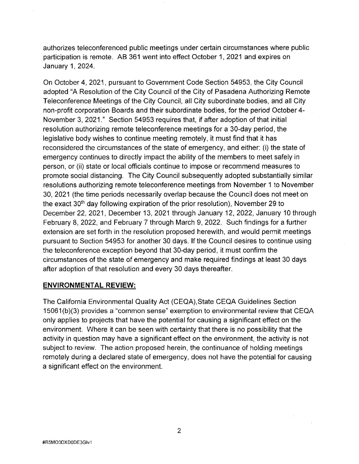authorizes teleconferenced public meetings under certain circumstances where public participation is remote. AB 361 went into effect October 1, 2021 and expires on January 1, 2024.

On October 4, 2021, pursuant to Government Code Section 54953, the City Council adopted "A Resolution of the City Council. of the City of Pasadena Authorizing Remote Teleconference Meetings of the City Council, all City subordinate bodies, and all City non-profit corporation Boards and their subordinate bodies, for the period October 4- November 3, 2021." Section 54953 requires that, if after adoption of that initial resolution authorizing remote teleconference meetings for a 30-day period, the legislative body wishes to continue meeting remotely, it must find that it has reconsidered the circumstances of the state of emergency, and either: (i) the state of emergency continues to directly impact the ability of the members to meet safely in person, or (ii) state or local officials continue to impose or recommend measures to promote social distancing. The City Council subsequently adopted substantially similar resolutions authorizing remote teleconference meetings from November 1 to November 30, 2021 (the time periods necessarily overlap because the Council does not meet on the exact 30th day following expiration of the prior resolution), November 29 to December 22, 2021, December 13, 2021 through January 12, 2022, January 10 through February 8, 2022, and February 7 through March 9, 2022. Such findings for a further extension are set forth in the resolution proposed herewith, and would permit meetings pursuant to Section 54953 for another 30 days. If the Council desires to continue using the teleconference exception beyond that 30-day period, it must confirm the circumstances of the state of emergency and make required findings at least 30 days after adoption of that resolution and every 30 days thereafter.

#### **ENVIRONMENTAL REVIEW:**

The California Environmental Quality Act (CEQA),State CEQA Guidelines Section 15061 (b)(3) provides a "common sense" exemption to environmental review that CEQA only applies to projects that have the potential for causing a significant effect on the environment. Where it can be seen with certainty that there is no possibility that the activity in question may have a significant effect on the environment, the activity is not subject to review. The action proposed herein, the continuance of holding meetings remotely during a declared state of emergency, does not have the potential for causing a significant effect on the environment.